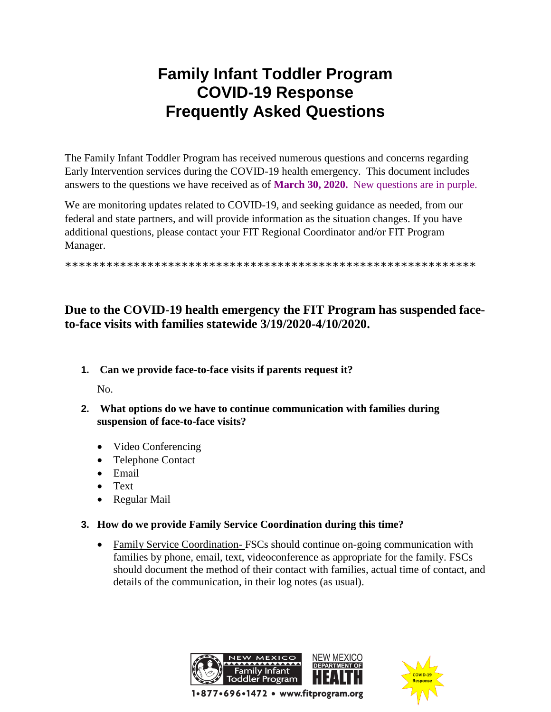# **Family Infant Toddler Program COVID-19 Response Frequently Asked Questions**

The Family Infant Toddler Program has received numerous questions and concerns regarding Early Intervention services during the COVID-19 health emergency. This document includes answers to the questions we have received as of **March 30, 2020.** New questions are in purple.

We are monitoring updates related to COVID-19, and seeking guidance as needed, from our federal and state partners, and will provide information as the situation changes. If you have additional questions, please contact your FIT Regional Coordinator and/or FIT Program Manager.

\*\*\*\*\*\*\*\*\*\*\*\*\*\*\*\*\*\*\*\*\*\*\*\*\*\*\*\*\*\*\*\*\*\*\*\*\*\*\*\*\*\*\*\*\*\*\*\*\*\*\*\*\*\*\*\*\*\*\*\*

## **Due to the COVID-19 health emergency the FIT Program has suspended faceto-face visits with families statewide 3/19/2020-4/10/2020.**

**1. Can we provide face-to-face visits if parents request it?**

No.

- **2. What options do we have to continue communication with families during suspension of face-to-face visits?**
	- Video Conferencing
	- Telephone Contact
	- Email
	- Text
	- Regular Mail
- **3. How do we provide Family Service Coordination during this time?**
	- Family Service Coordination- FSCs should continue on-going communication with families by phone, email, text, videoconference as appropriate for the family. FSCs should document the method of their contact with families, actual time of contact, and details of the communication, in their log notes (as usual).



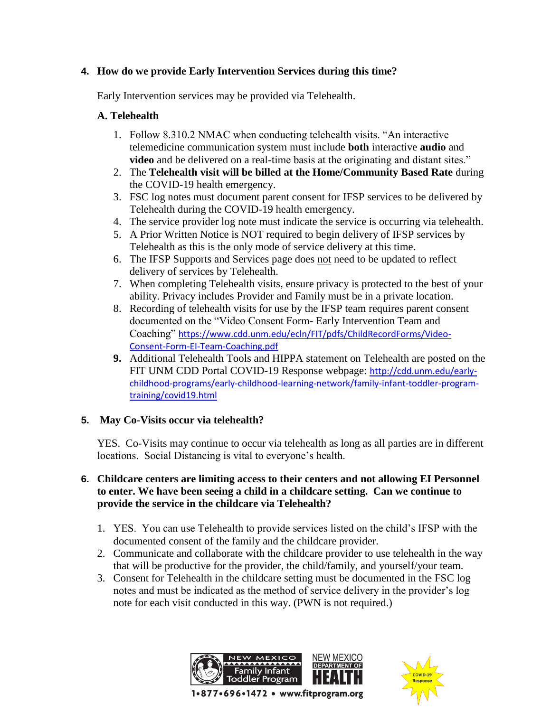## **4. How do we provide Early Intervention Services during this time?**

Early Intervention services may be provided via Telehealth.

## **A. Telehealth**

- 1. Follow 8.310.2 NMAC when conducting telehealth visits. "An interactive telemedicine communication system must include **both** interactive **audio** and **video** and be delivered on a real-time basis at the originating and distant sites."
- 2. The **Telehealth visit will be billed at the Home/Community Based Rate** during the COVID-19 health emergency.
- 3. FSC log notes must document parent consent for IFSP services to be delivered by Telehealth during the COVID-19 health emergency.
- 4. The service provider log note must indicate the service is occurring via telehealth.
- 5. A Prior Written Notice is NOT required to begin delivery of IFSP services by Telehealth as this is the only mode of service delivery at this time.
- 6. The IFSP Supports and Services page does not need to be updated to reflect delivery of services by Telehealth.
- 7. When completing Telehealth visits, ensure privacy is protected to the best of your ability. Privacy includes Provider and Family must be in a private location.
- 8. Recording of telehealth visits for use by the IFSP team requires parent consent documented on the "Video Consent Form- Early Intervention Team and Coaching" [https://www.cdd.unm.edu/ecln/FIT/pdfs/ChildRecordForms/Video-](https://protect-us.mimecast.com/s/BwQ5CBB2ZKFDrq9rfzISoG?domain=cdd.unm.edu)[Consent-Form-EI-Team-Coaching.pdf](https://protect-us.mimecast.com/s/BwQ5CBB2ZKFDrq9rfzISoG?domain=cdd.unm.edu)
- **9.** Additional Telehealth Tools and HIPPA statement on Telehealth are posted on the FIT UNM CDD Portal COVID-19 Response webpage: [http://cdd.unm.edu/early](https://protect-us.mimecast.com/s/U356CDk2jMuozpKzC5Goax?domain=cdd.unm.edu)[childhood-programs/early-childhood-learning-network/family-infant-toddler-program](https://protect-us.mimecast.com/s/U356CDk2jMuozpKzC5Goax?domain=cdd.unm.edu)[training/covid19.html](https://protect-us.mimecast.com/s/U356CDk2jMuozpKzC5Goax?domain=cdd.unm.edu)

## **5. May Co-Visits occur via telehealth?**

YES. Co-Visits may continue to occur via telehealth as long as all parties are in different locations. Social Distancing is vital to everyone's health.

## **6. Childcare centers are limiting access to their centers and not allowing EI Personnel to enter. We have been seeing a child in a childcare setting. Can we continue to provide the service in the childcare via Telehealth?**

- 1. YES. You can use Telehealth to provide services listed on the child's IFSP with the documented consent of the family and the childcare provider.
- 2. Communicate and collaborate with the childcare provider to use telehealth in the way that will be productive for the provider, the child/family, and yourself/your team.
- 3. Consent for Telehealth in the childcare setting must be documented in the FSC log notes and must be indicated as the method of service delivery in the provider's log note for each visit conducted in this way. (PWN is not required.)



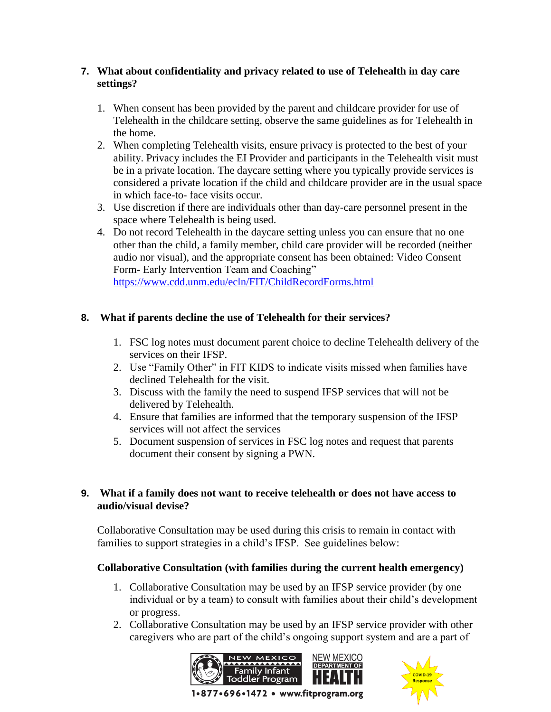## **7. What about confidentiality and privacy related to use of Telehealth in day care settings?**

- 1. When consent has been provided by the parent and childcare provider for use of Telehealth in the childcare setting, observe the same guidelines as for Telehealth in the home.
- 2. When completing Telehealth visits, ensure privacy is protected to the best of your ability. Privacy includes the EI Provider and participants in the Telehealth visit must be in a private location. The daycare setting where you typically provide services is considered a private location if the child and childcare provider are in the usual space in which face-to- face visits occur.
- 3. Use discretion if there are individuals other than day-care personnel present in the space where Telehealth is being used.
- 4. Do not record Telehealth in the daycare setting unless you can ensure that no one other than the child, a family member, child care provider will be recorded (neither audio nor visual), and the appropriate consent has been obtained: Video Consent Form- Early Intervention Team and Coaching" <https://www.cdd.unm.edu/ecln/FIT/ChildRecordForms.html>

## **8. What if parents decline the use of Telehealth for their services?**

- 1. FSC log notes must document parent choice to decline Telehealth delivery of the services on their IFSP.
- 2. Use "Family Other" in FIT KIDS to indicate visits missed when families have declined Telehealth for the visit.
- 3. Discuss with the family the need to suspend IFSP services that will not be delivered by Telehealth.
- 4. Ensure that families are informed that the temporary suspension of the IFSP services will not affect the services
- 5. Document suspension of services in FSC log notes and request that parents document their consent by signing a PWN.

## **9. What if a family does not want to receive telehealth or does not have access to audio/visual devise?**

Collaborative Consultation may be used during this crisis to remain in contact with families to support strategies in a child's IFSP. See guidelines below:

## **Collaborative Consultation (with families during the current health emergency)**

- 1. Collaborative Consultation may be used by an IFSP service provider (by one individual or by a team) to consult with families about their child's development or progress.
- 2. Collaborative Consultation may be used by an IFSP service provider with other caregivers who are part of the child's ongoing support system and are a part of



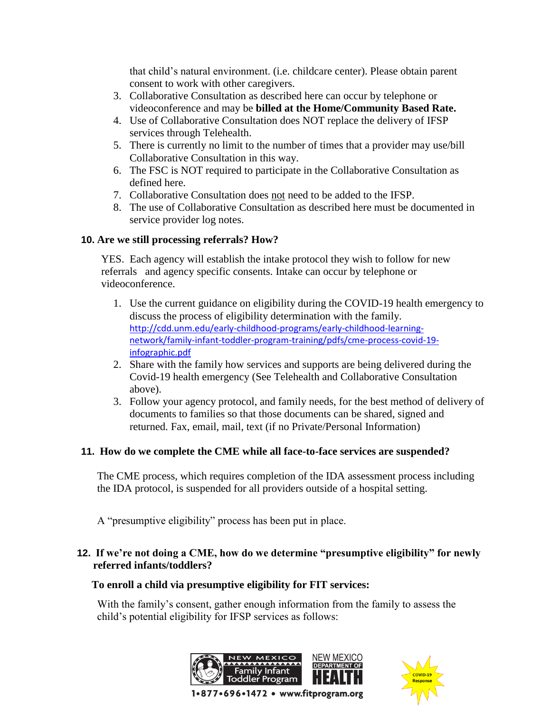that child's natural environment. (i.e. childcare center). Please obtain parent consent to work with other caregivers.

- 3. Collaborative Consultation as described here can occur by telephone or videoconference and may be **billed at the Home/Community Based Rate.**
- 4. Use of Collaborative Consultation does NOT replace the delivery of IFSP services through Telehealth.
- 5. There is currently no limit to the number of times that a provider may use/bill Collaborative Consultation in this way.
- 6. The FSC is NOT required to participate in the Collaborative Consultation as defined here.
- 7. Collaborative Consultation does not need to be added to the IFSP.
- 8. The use of Collaborative Consultation as described here must be documented in service provider log notes.

## **10. Are we still processing referrals? How?**

YES. Each agency will establish the intake protocol they wish to follow for new referrals and agency specific consents. Intake can occur by telephone or videoconference.

- 1. Use the current guidance on eligibility during the COVID-19 health emergency to discuss the process of eligibility determination with the family. [http://cdd.unm.edu/early-childhood-programs/early-childhood-learning](https://protect-us.mimecast.com/s/mgIGCER2kNIl2yJ2UpeG_Y?domain=cdd.unm.edu)[network/family-infant-toddler-program-training/pdfs/cme-process-covid-19](https://protect-us.mimecast.com/s/mgIGCER2kNIl2yJ2UpeG_Y?domain=cdd.unm.edu) [infographic.pdf](https://protect-us.mimecast.com/s/mgIGCER2kNIl2yJ2UpeG_Y?domain=cdd.unm.edu)
- 2. Share with the family how services and supports are being delivered during the Covid-19 health emergency (See Telehealth and Collaborative Consultation above).
- 3. Follow your agency protocol, and family needs, for the best method of delivery of documents to families so that those documents can be shared, signed and returned. Fax, email, mail, text (if no Private/Personal Information)

## **11. How do we complete the CME while all face-to-face services are suspended?**

The CME process, which requires completion of the IDA assessment process including the IDA protocol, is suspended for all providers outside of a hospital setting.

A "presumptive eligibility" process has been put in place.

## **12. If we're not doing a CME, how do we determine "presumptive eligibility" for newly referred infants/toddlers?**

## **To enroll a child via presumptive eligibility for FIT services:**

With the family's consent, gather enough information from the family to assess the child's potential eligibility for IFSP services as follows:



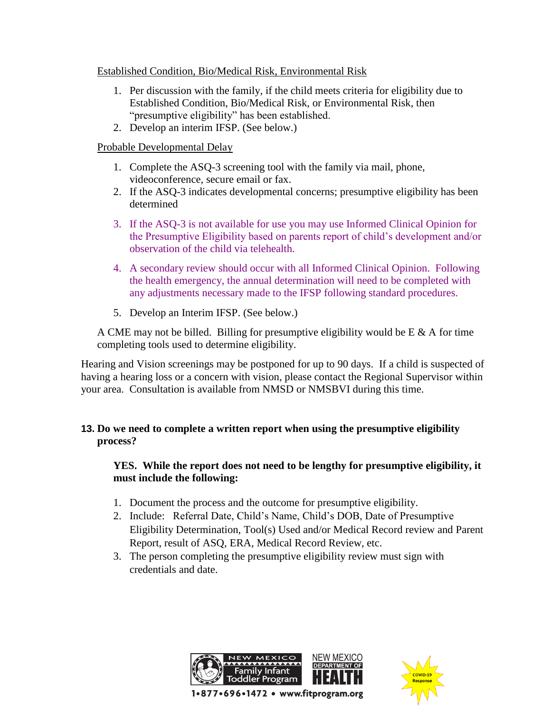Established Condition, Bio/Medical Risk, Environmental Risk

- 1. Per discussion with the family, if the child meets criteria for eligibility due to Established Condition, Bio/Medical Risk, or Environmental Risk, then "presumptive eligibility" has been established.
- 2. Develop an interim IFSP. (See below.)

## Probable Developmental Delay

- 1. Complete the ASQ-3 screening tool with the family via mail, phone, videoconference, secure email or fax.
- 2. If the ASQ-3 indicates developmental concerns; presumptive eligibility has been determined
- 3. If the ASQ-3 is not available for use you may use Informed Clinical Opinion for the Presumptive Eligibility based on parents report of child's development and/or observation of the child via telehealth.
- 4. A secondary review should occur with all Informed Clinical Opinion. Following the health emergency, the annual determination will need to be completed with any adjustments necessary made to the IFSP following standard procedures.
- 5. Develop an Interim IFSP. (See below.)

A CME may not be billed. Billing for presumptive eligibility would be  $E \& A$  for time completing tools used to determine eligibility.

Hearing and Vision screenings may be postponed for up to 90 days. If a child is suspected of having a hearing loss or a concern with vision, please contact the Regional Supervisor within your area. Consultation is available from NMSD or NMSBVI during this time.

## **13. Do we need to complete a written report when using the presumptive eligibility process?**

## **YES. While the report does not need to be lengthy for presumptive eligibility, it must include the following:**

- 1. Document the process and the outcome for presumptive eligibility.
- 2. Include: Referral Date, Child's Name, Child's DOB, Date of Presumptive Eligibility Determination, Tool(s) Used and/or Medical Record review and Parent Report, result of ASQ, ERA, Medical Record Review, etc.
- 3. The person completing the presumptive eligibility review must sign with credentials and date.



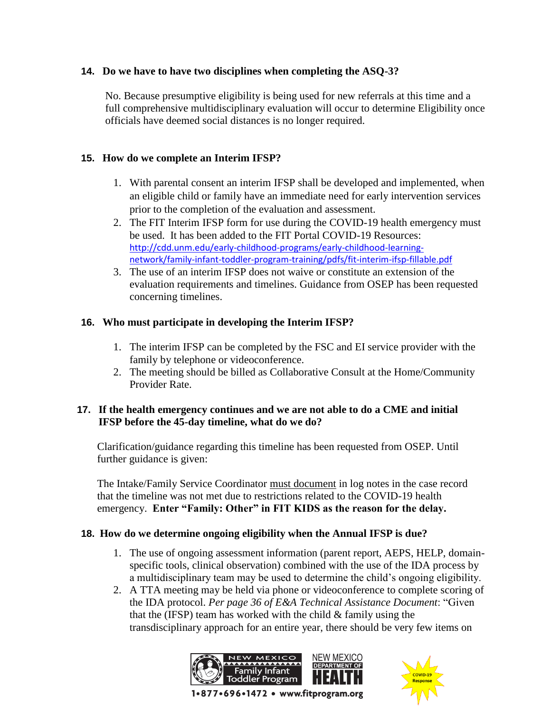## **14. Do we have to have two disciplines when completing the ASQ-3?**

No. Because presumptive eligibility is being used for new referrals at this time and a full comprehensive multidisciplinary evaluation will occur to determine Eligibility once officials have deemed social distances is no longer required.

## **15. How do we complete an Interim IFSP?**

- 1. With parental consent an interim IFSP shall be developed and implemented, when an eligible child or family have an immediate need for early intervention services prior to the completion of the evaluation and assessment.
- 2. The FIT Interim IFSP form for use during the COVID-19 health emergency must be used. It has been added to the FIT Portal COVID-19 Resources: [http://cdd.unm.edu/early-childhood-programs/early-childhood-learning](https://protect-us.mimecast.com/s/ZWPxCG62mPTBRnpRFQpxJB?domain=cdd.unm.edu)[network/family-infant-toddler-program-training/pdfs/fit-interim-ifsp-fillable.pdf](https://protect-us.mimecast.com/s/ZWPxCG62mPTBRnpRFQpxJB?domain=cdd.unm.edu)
- 3. The use of an interim IFSP does not waive or constitute an extension of the evaluation requirements and timelines. Guidance from OSEP has been requested concerning timelines.

#### **16. Who must participate in developing the Interim IFSP?**

- 1. The interim IFSP can be completed by the FSC and EI service provider with the family by telephone or videoconference.
- 2. The meeting should be billed as Collaborative Consult at the Home/Community Provider Rate.

#### **17. If the health emergency continues and we are not able to do a CME and initial IFSP before the 45-day timeline, what do we do?**

Clarification/guidance regarding this timeline has been requested from OSEP. Until further guidance is given:

The Intake/Family Service Coordinator must document in log notes in the case record that the timeline was not met due to restrictions related to the COVID-19 health emergency. **Enter "Family: Other" in FIT KIDS as the reason for the delay.** 

## **18. How do we determine ongoing eligibility when the Annual IFSP is due?**

- 1. The use of ongoing assessment information (parent report, AEPS, HELP, domainspecific tools, clinical observation) combined with the use of the IDA process by a multidisciplinary team may be used to determine the child's ongoing eligibility.
- 2. A TTA meeting may be held via phone or videoconference to complete scoring of the IDA protocol. *Per page 36 of E&A Technical Assistance Document*: "Given that the (IFSP) team has worked with the child  $&$  family using the transdisciplinary approach for an entire year, there should be very few items on



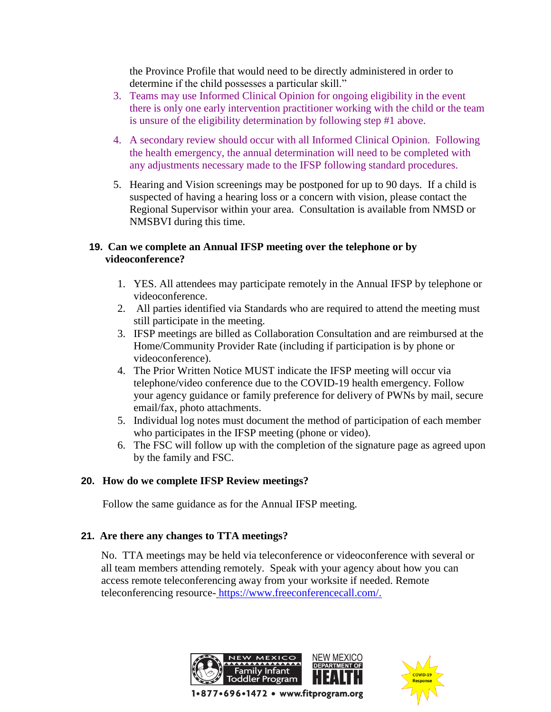the Province Profile that would need to be directly administered in order to determine if the child possesses a particular skill."

- 3. Teams may use Informed Clinical Opinion for ongoing eligibility in the event there is only one early intervention practitioner working with the child or the team is unsure of the eligibility determination by following step #1 above.
- 4. A secondary review should occur with all Informed Clinical Opinion. Following the health emergency, the annual determination will need to be completed with any adjustments necessary made to the IFSP following standard procedures.
- 5. Hearing and Vision screenings may be postponed for up to 90 days. If a child is suspected of having a hearing loss or a concern with vision, please contact the Regional Supervisor within your area. Consultation is available from NMSD or NMSBVI during this time.

## **19. Can we complete an Annual IFSP meeting over the telephone or by videoconference?**

- 1. YES. All attendees may participate remotely in the Annual IFSP by telephone or videoconference.
- 2. All parties identified via Standards who are required to attend the meeting must still participate in the meeting.
- 3. IFSP meetings are billed as Collaboration Consultation and are reimbursed at the Home/Community Provider Rate (including if participation is by phone or videoconference).
- 4. The Prior Written Notice MUST indicate the IFSP meeting will occur via telephone/video conference due to the COVID-19 health emergency. Follow your agency guidance or family preference for delivery of PWNs by mail, secure email/fax, photo attachments.
- 5. Individual log notes must document the method of participation of each member who participates in the IFSP meeting (phone or video).
- 6. The FSC will follow up with the completion of the signature page as agreed upon by the family and FSC.

## **20. How do we complete IFSP Review meetings?**

Follow the same guidance as for the Annual IFSP meeting.

## **21. Are there any changes to TTA meetings?**

No. TTA meetings may be held via teleconference or videoconference with several or all team members attending remotely. Speak with your agency about how you can access remote teleconferencing away from your worksite if needed. Remote teleconferencing resource- [https://www.freeconferencecall.com/.](https://www.freeconferencecall.com/)



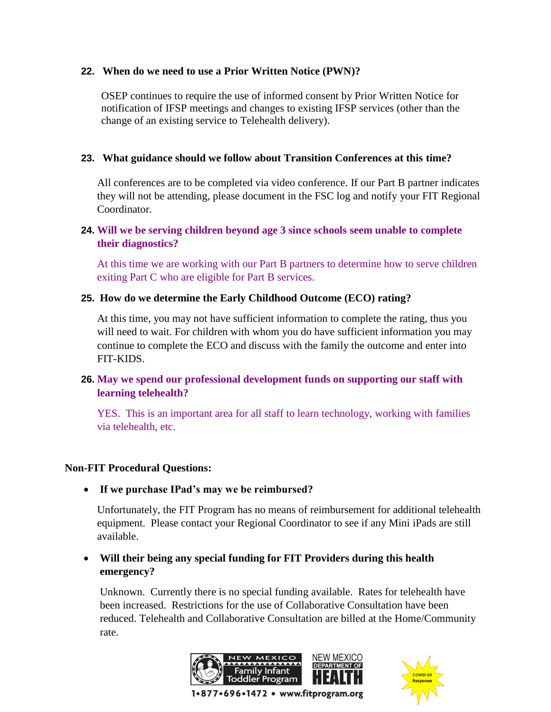#### **22. When do we need to use a Prior Written Notice (PWN)?**

OSEP continues to require the use of informed consent by Prior Written Notice for notification of IFSP meetings and changes to existing IFSP services (other than the change of an existing service to Telehealth delivery).

### **23. What guidance should we follow about Transition Conferences at this time?**

All conferences are to be completed via video conference. If our Part B partner indicates they will not be attending, please document in the FSC log and notify your FIT Regional Coordinator.

## **24. Will we be serving children beyond age 3 since schools seem unable to complete their diagnostics?**

At this time we are working with our Part B partners to determine how to serve children exiting Part C who are eligible for Part B services.

## **25. How do we determine the Early Childhood Outcome (ECO) rating?**

At this time, you may not have sufficient information to complete the rating, thus you will need to wait. For children with whom you do have sufficient information you may continue to complete the ECO and discuss with the family the outcome and enter into FIT-KIDS.

## **26. May we spend our professional development funds on supporting our staff with learning telehealth?**

YES. This is an important area for all staff to learn technology, working with families via telehealth, etc.

#### **Non-FIT Procedural Questions:**

**If we purchase IPad's may we be reimbursed?**

Unfortunately, the FIT Program has no means of reimbursement for additional telehealth equipment. Please contact your Regional Coordinator to see if any Mini iPads are still available.

 **Will their being any special funding for FIT Providers during this health emergency?**

Unknown. Currently there is no special funding available. Rates for telehealth have been increased. Restrictions for the use of Collaborative Consultation have been reduced. Telehealth and Collaborative Consultation are billed at the Home/Community rate.